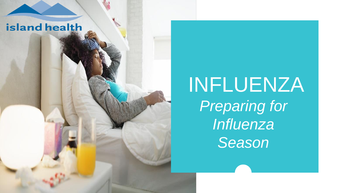### island health

## INFLUENZA *Preparing for Influenza Season*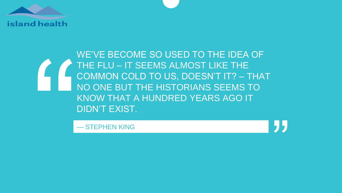

### WE'VE BECOME SO USED TO THE IDEA OF THE FLU – IT SEEMS ALMOST LIKE THE COMMON COLD TO US, DOESN'T IT? – THAT NO ONE BUT THE HISTORIANS SEEMS TO KNOW THAT A HUNDRED YEARS AGO IT DIDN'T EXIST.

— STEPHEN KING

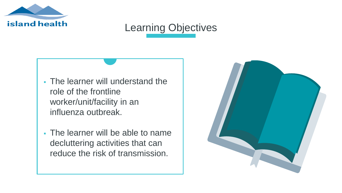

### Learning Objectives

- The learner will understand the role of the frontline worker/unit/facility in an influenza outbreak.
- The learner will be able to name decluttering activities that can reduce the risk of transmission.

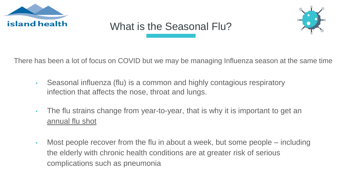

### What is the Seasonal Flu?



There has been a lot of focus on COVID but we may be managing Influenza season at the same time

- Seasonal influenza (flu) is a common and highly contagious respiratory infection that affects the nose, throat and lungs.
- The flu strains change from year-to-year, that is why it is important to get an annual flu shot
- Most people recover from the flu in about a week, but some people including the elderly with chronic health conditions are at greater risk of serious complications such as pneumonia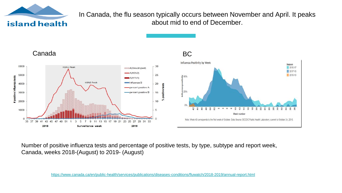

In Canada, the flu season typically occurs between November and April. It peaks about mid to end of December.



Number of positive influenza tests and percentage of positive tests, by type, subtype and report week, Canada, weeks 2018-(August) to 2019- (August)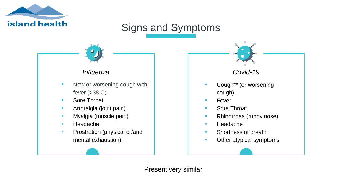

### Signs and Symptoms



- **New or worsening cough with** fever  $( >38 C)$
- Sore Throat
- **•** Arthralgia (joint pain)
- **Myalgia (muscle pain)**
- Headache
- **•** Prostration (physical or/and mental exhaustion)

#### *Influenza Covid-19*

- **Cough\*\*** (or worsening cough)
- Fever
- Sore Throat
- **Rhinorrhea (runny nose)**
- Headache
- **•** Shortness of breath
- Other atypical symptoms

Present very similar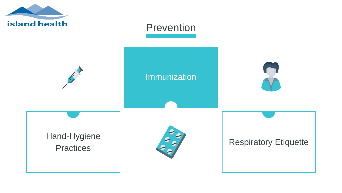

### Prevention

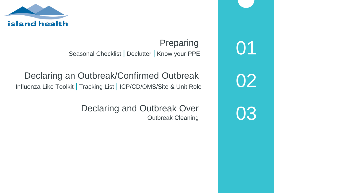

Preparing 01 Seasonal Checklist | Declutter | Know your PPE

### Declaring an Outbreak/Confirmed Outbreak<br> Influenza Like Toolkit | Tracking List | ICP/CD/OMS/Site & Unit Role

Declaring and Outbreak Over Outbreak Cleaning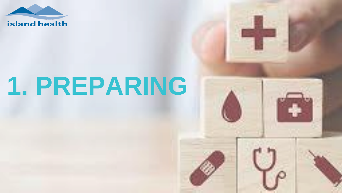

# **1. PREPARING**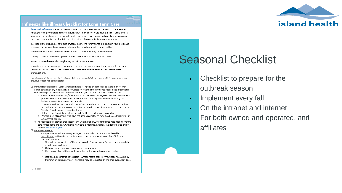

#### Influenza like illness Checklist for Long Term Care

Seasonal influenza is a serious cause of illness, disability and death in residents of care facilities. Among vaccine-preventable diseases, influenza causes by far the most deaths. Seniors and others in long-term care are frequently more vulnerable to influenza than the general population, because of their own compromised health status and the nature of congregate living and care giving.

Infection prevention and control best practice, monitoring for influenza-like illness in your facility and effective management helps prevent influenza illness and outbreaks in your facility.

This document outlines in checklist format tasks to complete during influenza season.

For any COVID-19 information, please refer to Island Health COVID material online.

#### Tasks to complete at the beginning of Influenza Season

Those interested in becoming a peer immunizer should be made aware that BC Centre for Disease Control (BCCDC) has courses to assist in maintaining best practice competencies for Influenza immunizations.

For affiliates: Order vaccine for the facility (all residents and staff) and ensure that vaccine from the previous season has been discarded.

- $\square$  Immunization residents- Consent for health care is implied on admission to the facility. As with administration of any medication, a conversation regarding the influenza vaccine and prophylaxis should take place between the resident and/or designated representative, and the nurse.
	- o Obtain doctor's orders and/or consent for vaccinations, anaphylaxis treatment and antiviral prophylaxis (Oseltamivir) for all current residents and any new admissions during the influenza season (e.g. November to April).
	- o Document resident vaccination in the resident's medical record and on a Seasonal Influenza Recording sheet (for a template, see Influenza Vaccine Usage forms under the Community Vaccine Providers page at islandhealth.ca).
	- o Defer vaccination of those with acute febrile illness until symptoms resolve.
	- o Prepare a list of residents who have not been vaccinated so they may be easily identified if an outbreak occurs.
	- o All facilities must provide their local health unit and/or IPAC with influenza vaccination coverage data for residents and staff. Only summary data is required, not individual records (see online form at www.viha.ca/flu.
- $\Box$  Immunization staff:
	- o Occupational Health and Safety manages immunization records in Island Health.
	- o For affiliates: All health care facilities must maintain annual records of staff influenza vaccination status.
		- . This includes name, date of birth, position (job), where in the facility they work and date of influenza vaccination.
		- Obtain informed consent for employee vaccinations.
		- . Defer vaccination of those with acute febrile illness until symptoms resolve.
		- Staff should be instructed to retain a written record of their immunization provided by their immunization provider. This record may be requested by the employer at any time.

### Seasonal Checklist

- Checklist to prepare for the outbreak season
- **Implement every fall**
- On the intranet and internet
- For both owned and operated, and affiliates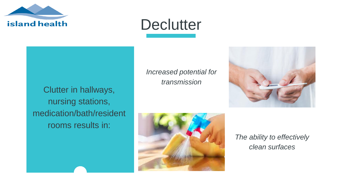

### **Declutter**

Clutter in hallways, nursing stations, medication/bath/resident rooms results in:

*Increased potential for transmission*





*The ability to effectively clean surfaces*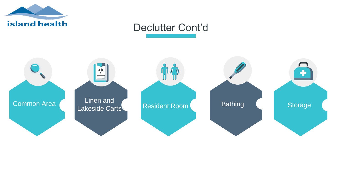

### Declutter Cont'd

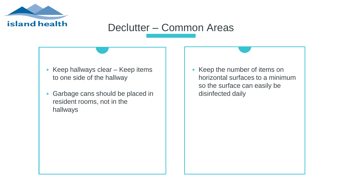

### Declutter – Common Areas

- Keep hallways clear  $-$  Keep items to one side of the hallway
- Garbage cans should be placed in resident rooms, not in the hallways

Keep the number of items on horizontal surfaces to a minimum so the surface can easily be disinfected daily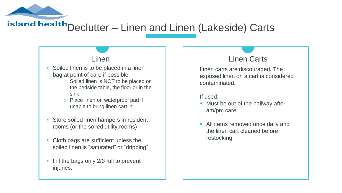island health Declutter – Linen and Linen (Lakeside) Carts

- **Soiled linen is to be placed in a linen** bag at point of care if possible
	- o Soiled linen is NOT to be placed on the bedside table, the floor or in the sink.
	- o Place linen on waterproof pad if unable to bring linen cart in
- **Store soiled linen hampers in resident** rooms (or the soiled utility rooms)
- Cloth bags are sufficient unless the soiled linen is "saturated" or "dripping".
- Fill the bags only 2/3 full to prevent injuries.

### Linen Linen Carts

Linen carts are discouraged. The exposed linen on a cart is considered contaminated.

If used:

- Must be out of the hallway after am/pm care
- All items removed once daily and the linen cart cleaned before restocking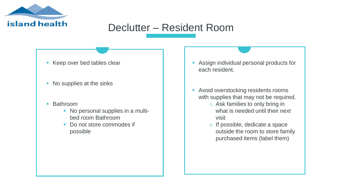

### Declutter – Resident Room

- Keep over bed tables clear
- No supplies at the sinks
- Bathroom
	- No personal supplies in a multibed room Bathroom
	- Do not store commodes if possible
- Assign individual personal products for each resident.
- **Avoid overstocking residents rooms** with supplies that may not be required.
	- o Ask families to only bring in what is needed until their next visit
	- o If possible, dedicate a space outside the room to store family purchased items (label them)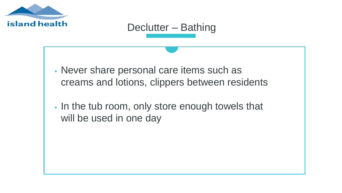

### Declutter – Bathing

- Never share personal care items such as creams and lotions, clippers between residents
- In the tub room, only store enough towels that will be used in one day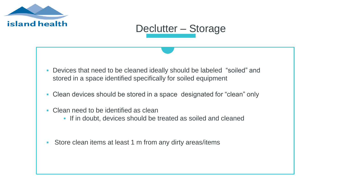

### Declutter – Storage

- Devices that need to be cleaned ideally should be labeled "soiled" and stored in a space identified specifically for soiled equipment
- Clean devices should be stored in a space designated for "clean" only
- Clean need to be identified as clean
	- If in doubt, devices should be treated as soiled and cleaned
- Store clean items at least 1 m from any dirty areas/items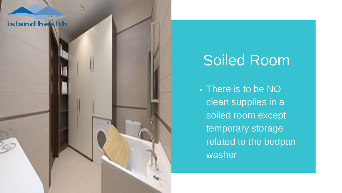### island health

### Soiled Room

 There is to be NO clean supplies in a soiled room except temporary storage related to the bedpan washer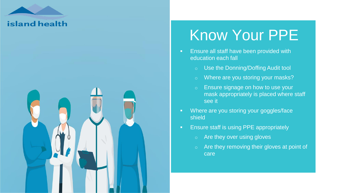

### Know Your PPE

- **Ensure all staff have been provided with** education each fall
	- o Use the Donning/Doffing Audit tool
	- o Where are you storing your masks?
	- o Ensure signage on how to use your mask appropriately is placed where staff see it
- **Where are you storing your goggles/face** shield
- **Ensure staff is using PPE appropriately** 
	- o Are they over using gloves
	- o Are they removing their gloves at point of care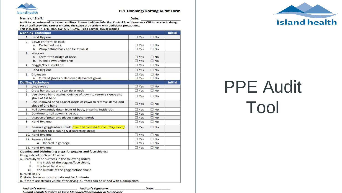

#### **PPE Donning/Doffing Audit Form**

 $Date:$ 

Name of Staff:

Date:

Audit to be performed by trained auditors. Connect with an Infection Control Practitioner or a CNE to receive training. For all staff providing care or entering the space of a resident with additional precautions.

This includes: RN, LPN, HCA, SW, OT, PT, AW, Food Service, Housekeeping

Submit completed form to Care Manager/Coordinator or Supervisor

| <b>Donning Technique</b>                                                               |                               | Initial        |
|----------------------------------------------------------------------------------------|-------------------------------|----------------|
| 1. Hand Hygiene                                                                        | $\Box$ Yes<br>$\square$ No    |                |
| Gown on front-to-back<br>2.                                                            |                               |                |
| a. Tie behind neck                                                                     | $\square$ No<br>$\Box$ Yes    |                |
| b. Wrap behind back and tie at waist                                                   | $\Box$ Yes<br>$\Box$ No       |                |
| Mask on<br>3.                                                                          |                               |                |
| a. Form-fit to bridge of nose                                                          | $\Box$ Yes<br>$\Box$ No       |                |
| b. Pulled down under chin                                                              | $\Box$ No<br>$\Box$ Yes       |                |
| Goggle/Face shield on<br>4.                                                            | $\square$ No<br>$\Box$ Yes    |                |
| Hand Hygiene<br>5.                                                                     | $\Box$ Yes<br>$\n  N$         |                |
| Gloves on<br>6.                                                                        | $\Box$ Yes<br>$\Box$ No       |                |
| a.<br>Cuffs of gloves pulled over sleeved of gown                                      | $\square$ Yes<br>$\square$ No |                |
| <b>Doffing Technique</b>                                                               |                               | <b>Initial</b> |
| 1. Untie waist                                                                         | $\Box$ Yes<br>$\Box$ No       |                |
| 2. Cross hands, tug and tear tie at neck                                               | $\n  No\n$<br>$\Box$ Yes      |                |
| 3. Use gloved hand against outside of gown to remove sleeve and<br>glove of 1st hand   | $\Box$ No<br>$\Box$ Yes       |                |
| 4. Use ungloved hand against inside of gown to remove sleeve and<br>glove of 2nd hand  | $\square$ No<br>$\Box$ Yes    |                |
| Roll gown gently down front of body, ensuring inside-out<br>5.                         | $\Box$ No<br>$\Box$ Yes       |                |
| Continue to roll gown inside out<br>6.                                                 | $\square$ No<br>$\Box$ Yes    |                |
| Dispose of gown and gloves together gently<br>7.                                       | $\square$ No<br>$\square$ Yes |                |
| <b>Hand Hygiene</b><br>8.                                                              | $\n  No\n$<br>$\Box$ Yes      |                |
| 9. Remove goggles/face shield <i>(must be cleaned in the utility room)</i>             | $\square$ Yes<br>$\n  N$      |                |
| (see footer for cleaning & disinfecting steps)                                         |                               |                |
| 10. Hand Hygiene                                                                       | $\Box$ No<br>$\Box$ Yes       |                |
| 11. Remove Mask                                                                        | $\n  No\n$<br>$\Box$ Yes      |                |
| a. Discard in garbage                                                                  | $\Box$ No<br>$\Box$ Yes       |                |
| 12. Hand Hygiene                                                                       | $\square$ No<br>$\square$ Yes |                |
| Cleaning and Disinfecting steps for goggles and face shields:                          |                               |                |
| Using a Accel or Oxivir Tb wipe:                                                       |                               |                |
| A. Carefully wipe surfaces in the following order:                                     |                               |                |
| the inside of the goggles/face shield,<br>i.                                           |                               |                |
| the head band and<br>ii.                                                               |                               |                |
| iii.<br>the outside of the goggles/face shield                                         |                               |                |
| B. Hang to dry                                                                         |                               |                |
| C. Note: Surfaces must remain wet for 1 minute                                         |                               |                |
| D. If there are streaks visible after drying, surfaces can be wiped with a damp cloth. |                               |                |
|                                                                                        |                               |                |
| <b>Auditor's name:</b><br><b>Auditor's signature:</b>                                  | Date:                         |                |



# PPE Audit Tool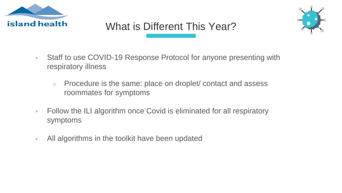

### What is Different This Year?



- Staff to use COVID-19 Response Protocol for anyone presenting with respiratory illness
	- Procedure is the same: place on droplet/ contact and assess roommates for symptoms
- Follow the ILI algorithm once Covid is eliminated for all respiratory symptoms
- All algorithms in the toolkit have been updated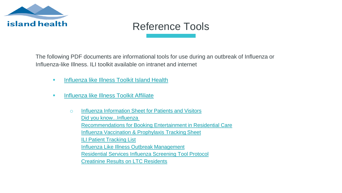

### Reference Tools

The following PDF documents are informational tools for use during an outbreak of Influenza or Influenza-like Illness. ILI toolkit available on intranet and internet

- [Influenza like Illness Toolkit Island Health](https://intranet.viha.ca/departments/infection_prevention/toolkits/Pages/Influenza-likeIllnessToolkit.aspx)
- **[Influenza like Illness Toolkit Affiliate](https://www.islandhealth.ca/learn-about-health/infection-prevention-control-ipac/toolkits-infectious-diseases)** 
	- o [Influenza Information Sheet for Patients and Visitors](https://www.islandhealth.ca/sites/default/files/2018-08/influenza-handout.pdf) [Did you know...Influenza](https://www.islandhealth.ca/sites/default/files/2018-08/did-you-know-influenza.pdf) [Recommendations for Booking Entertainment in Residential Care](https://www.islandhealth.ca/sites/default/files/2018-08/booking-entertainment-residential-care_0.pdf) **[Influenza Vaccination & Prophylaxis Tracking Sheet](https://www.islandhealth.ca/sites/default/files/2018-08/vaccination-prophylaxis-sheet.pdf)** [ILI Patient Tracking List](https://www.islandhealth.ca/sites/default/files/ili-tracking-list.pdf) [Influenza Like Illness Outbreak Management](https://www.islandhealth.ca/sites/default/files/influenza-like-illness-outbreak-management.pdf) [Residential Services Influenza Screening Tool Protocol](https://www.islandhealth.ca/sites/default/files/2018-09/residential-services-influenza-screening-tool.pdf) [Creatinine Results on LTC Residents](https://www.islandhealth.ca/sites/default/files/2018-10/memo-re-creatinine%20-2018.pdf)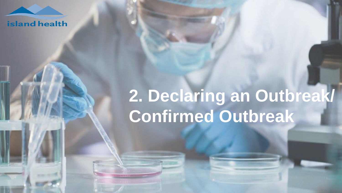

# **2. Declaring an Outbreak/ Confirmed Outbreak**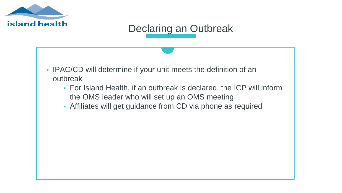

### Declaring an Outbreak

- **IPAC/CD will determine if your unit meets the definition of an** outbreak
	- For Island Health, if an outbreak is declared, the ICP will inform the OMS leader who will set up an OMS meeting
	- Affiliates will get guidance from CD via phone as required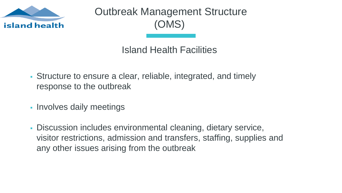

Outbreak Management Structure (OMS)

Island Health Facilities

- Structure to ensure a clear, reliable, integrated, and timely response to the outbreak
- **Involves daily meetings**
- Discussion includes environmental cleaning, dietary service, visitor restrictions, admission and transfers, staffing, supplies and any other issues arising from the outbreak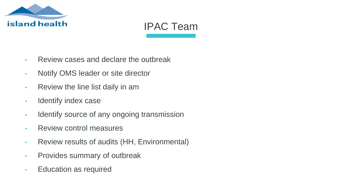

### IPAC Team

- Review cases and declare the outbreak
- Notify OMS leader or site director
- Review the line list daily in am
- Identify index case
- **IDENTIFY** source of any ongoing transmission
- Review control measures
- Review results of audits (HH, Environmental)
- Provides summary of outbreak
- Education as required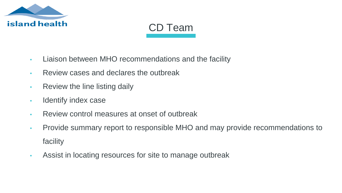

### CD Team

- Liaison between MHO recommendations and the facility
- Review cases and declares the outbreak
- **Review the line listing daily**
- Identify index case
- Review control measures at onset of outbreak
- Provide summary report to responsible MHO and may provide recommendations to facility
- Assist in locating resources for site to manage outbreak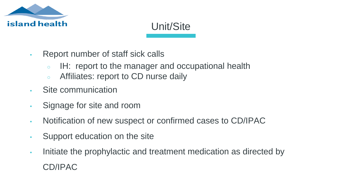

### Unit/Site

- Report number of staff sick calls
	- IH: report to the manager and occupational health
	- Affiliates: report to CD nurse daily
- Site communication
- Signage for site and room
- Notification of new suspect or confirmed cases to CD/IPAC
- **EXEC** Support education on the site
- Initiate the prophylactic and treatment medication as directed by CD/IPAC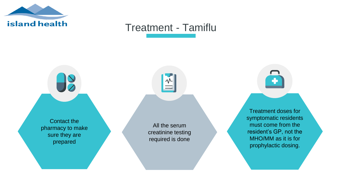

### Treatment - Tamiflu

Contact the pharmacy to make sure they are prepared

 $\frac{1}{\sqrt{2}}$ 

All the serum creatinine testing required is done

Storage Treatment doses for symptomatic residents must come from the resident's GP, not the

MHO/MM as it is for prophylactic dosing.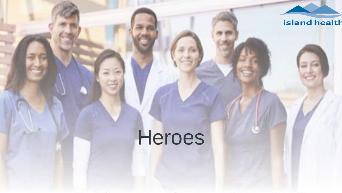

# Heroes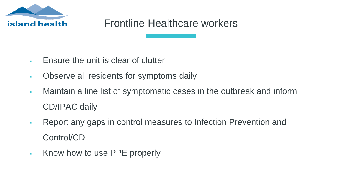

### Frontline Healthcare workers

- **Ensure the unit is clear of clutter**
- Observe all residents for symptoms daily
- Maintain a line list of symptomatic cases in the outbreak and inform CD/IPAC daily
- Report any gaps in control measures to Infection Prevention and Control/CD
- Know how to use PPE properly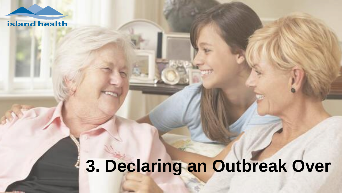### island health

# **3. Declaring an Outbreak Over**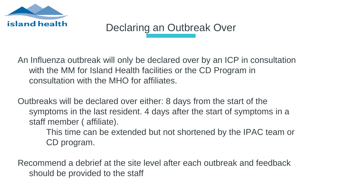

### Declaring an Outbreak Over

An Influenza outbreak will only be declared over by an ICP in consultation with the MM for Island Health facilities or the CD Program in consultation with the MHO for affiliates.

Outbreaks will be declared over either: 8 days from the start of the symptoms in the last resident. 4 days after the start of symptoms in a staff member ( affiliate).

> This time can be extended but not shortened by the IPAC team or CD program.

Recommend a debrief at the site level after each outbreak and feedback should be provided to the staff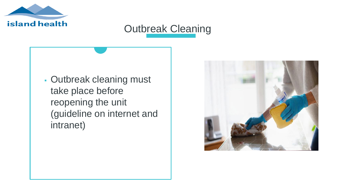

### Outbreak Cleaning

 Outbreak cleaning must take place before reopening the unit (guideline on internet and intranet)

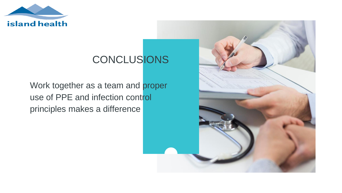

### **CONCLUSIONS**

Work together as a team and proper use of PPE and infection control principles makes a difference

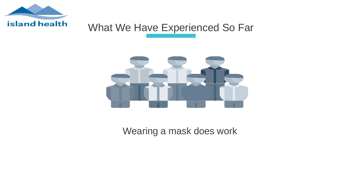

### What We Have Experienced So Far



Wearing a mask does work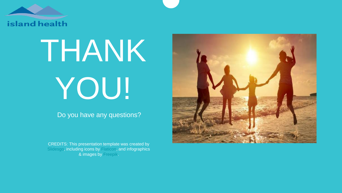

# THANK YOU!

Do you have any questions?

CREDITS: This presentation template was created by [Slidesgo,](http://bit.ly/2Tynxth) including icons by [Flaticon,](http://bit.ly/2TyoMsr) and infographics & images by [Freepik.](http://bit.ly/2TtBDfr)